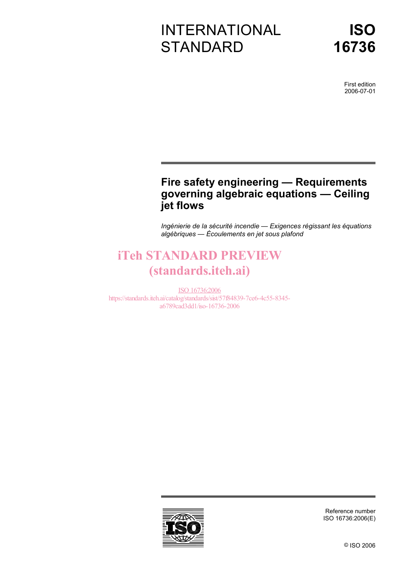# INTERNATIONAL **STANDARD**

First edition 2006-07-01

# **Fire safety engineering — Requirements governing algebraic equations — Ceiling jet flows**

*Ingénierie de la sécurité incendie — Exigences régissant les équations algébriques — Écoulements en jet sous plafond* 

# iTeh STANDARD PREVIEW (standards.iteh.ai)

ISO 16736:2006 https://standards.iteh.ai/catalog/standards/sist/57f84839-7ce6-4c55-8345 a6789cad3dd1/iso-16736-2006



Reference number ISO 16736:2006(E)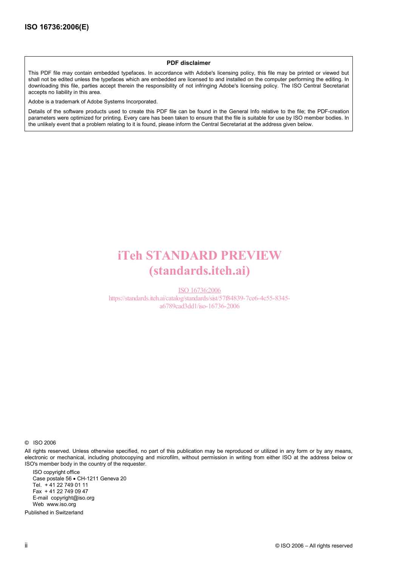#### **PDF disclaimer**

This PDF file may contain embedded typefaces. In accordance with Adobe's licensing policy, this file may be printed or viewed but shall not be edited unless the typefaces which are embedded are licensed to and installed on the computer performing the editing. In downloading this file, parties accept therein the responsibility of not infringing Adobe's licensing policy. The ISO Central Secretariat accepts no liability in this area.

Adobe is a trademark of Adobe Systems Incorporated.

Details of the software products used to create this PDF file can be found in the General Info relative to the file; the PDF-creation parameters were optimized for printing. Every care has been taken to ensure that the file is suitable for use by ISO member bodies. In the unlikely event that a problem relating to it is found, please inform the Central Secretariat at the address given below.

# iTeh STANDARD PREVIEW (standards.iteh.ai)

ISO 16736:2006 https://standards.iteh.ai/catalog/standards/sist/57f84839-7ce6-4c55-8345 a6789cad3dd1/iso-16736-2006

© ISO 2006

All rights reserved. Unless otherwise specified, no part of this publication may be reproduced or utilized in any form or by any means, electronic or mechanical, including photocopying and microfilm, without permission in writing from either ISO at the address below or ISO's member body in the country of the requester.

ISO copyright office Case postale 56 • CH-1211 Geneva 20 Tel. + 41 22 749 01 11 Fax + 41 22 749 09 47 E-mail copyright@iso.org Web www.iso.org

Published in Switzerland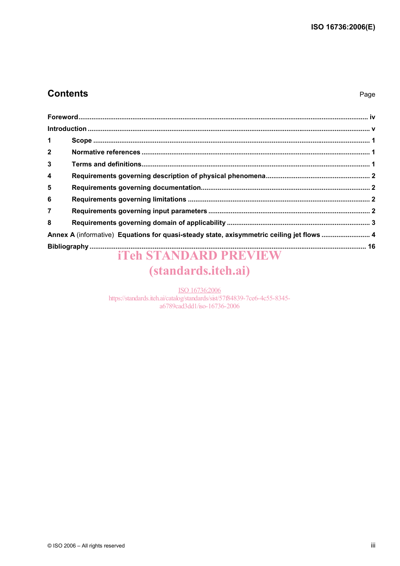### **Contents**

#### Page

| 1              |                                                                                           |  |
|----------------|-------------------------------------------------------------------------------------------|--|
| $\overline{2}$ |                                                                                           |  |
| 3              |                                                                                           |  |
| 4              |                                                                                           |  |
| 5              |                                                                                           |  |
| 6              |                                                                                           |  |
| $\overline{7}$ |                                                                                           |  |
| 8              |                                                                                           |  |
|                | Annex A (informative) Equations for quasi-steady state, axisymmetric ceiling jet flows  4 |  |
|                | <b>iTeh STANDARD PREVIEW</b>                                                              |  |

# (standards.iteh.ai)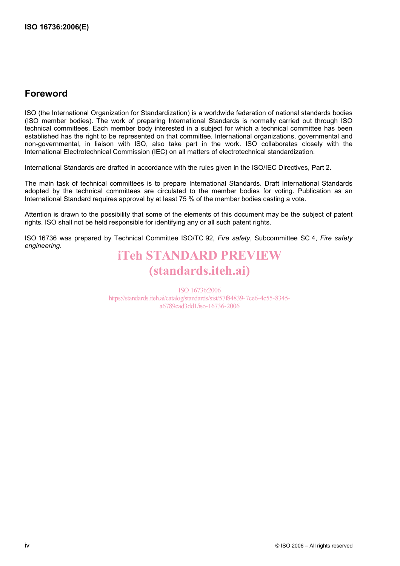### **Foreword**

ISO (the International Organization for Standardization) is a worldwide federation of national standards bodies (ISO member bodies). The work of preparing International Standards is normally carried out through ISO technical committees. Each member body interested in a subject for which a technical committee has been established has the right to be represented on that committee. International organizations, governmental and non-governmental, in liaison with ISO, also take part in the work. ISO collaborates closely with the International Electrotechnical Commission (IEC) on all matters of electrotechnical standardization.

International Standards are drafted in accordance with the rules given in the ISO/IEC Directives, Part 2.

The main task of technical committees is to prepare International Standards. Draft International Standards adopted by the technical committees are circulated to the member bodies for voting. Publication as an International Standard requires approval by at least 75 % of the member bodies casting a vote.

Attention is drawn to the possibility that some of the elements of this document may be the subject of patent rights. ISO shall not be held responsible for identifying any or all such patent rights.

ISO 16736 was prepared by Technical Committee ISO/TC 92, *Fire safety*, Subcommittee SC 4, *Fire safety engineering*.

# iTeh STANDARD PREVIEW (standards.iteh.ai)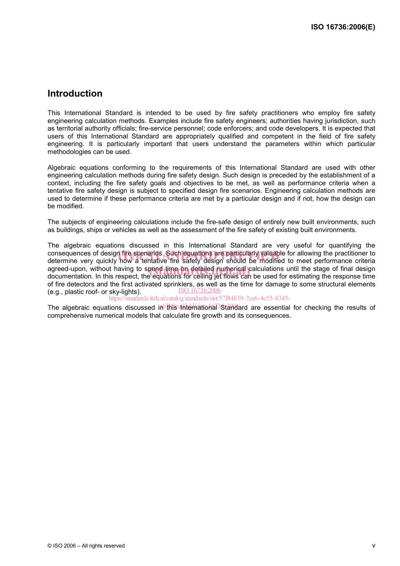### **Introduction**

This International Standard is intended to be used by fire safety practitioners who employ fire safety engineering calculation methods. Examples include fire safety engineers; authorities having jurisdiction, such as territorial authority officials; fire-service personnel; code enforcers; and code developers. It is expected that users of this International Standard are appropriately qualified and competent in the field of fire safety engineering. It is particularly important that users understand the parameters within which particular methodologies can be used.

Algebraic equations conforming to the requirements of this International Standard are used with other engineering calculation methods during fire safety design. Such design is preceded by the establishment of a context, including the fire safety goals and objectives to be met, as well as performance criteria when a tentative fire safety design is subject to specified design fire scenarios. Engineering calculation methods are used to determine if these performance criteria are met by a particular design and if not, how the design can be modified.

The subjects of engineering calculations include the fire-safe design of entirely new built environments, such as buildings, ships or vehicles as well as the assessment of the fire safety of existing built environments.

The algebraic equations discussed in this International Standard are very useful for quantifying the consequences of design fire scenarios. Such equations are particularly valuable for allowing the practitioner to<br>determine very quickly how a tentative fire safety design should be modified to meet performance criteria determine very quickly how a tentative fire safety design should be modified to meet performance criteria agreed-upon, without having to spend time on detailed numerical calculations until the stage of final design<br>documentation. In this respect, the equations for ceiling jet flows can be used for estimating the response time documentation. In this respect, the equations for ceiling jet flows can be used for estimating the response time of fire detectors and the first activated sprinklers, as well as the time for damage to some structural elements (e.g., plastic roof- or sky-lights). ISO 16736:2006

https://standards.iteh.ai/catalog/standards/sist/57f84839-7ce6-4c55-8345-

The algebraic equations discussed in this anternational Standard are essential for checking the results of comprehensive numerical models that calculate fire growth and its consequences.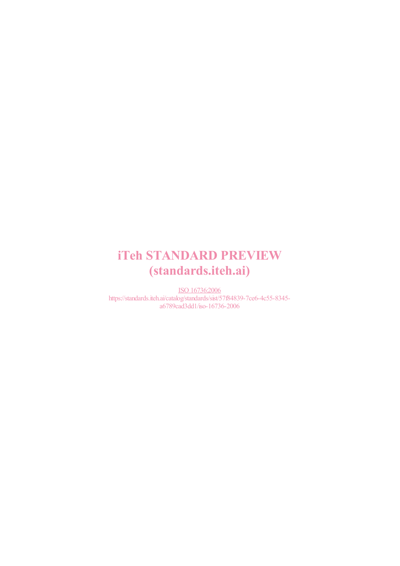# iTeh STANDARD PREVIEW (standards.iteh.ai)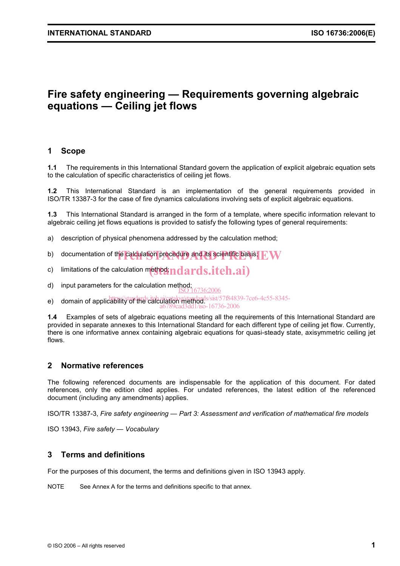# **Fire safety engineering — Requirements governing algebraic equations — Ceiling jet flows**

#### **1 Scope**

**1.1** The requirements in this International Standard govern the application of explicit algebraic equation sets to the calculation of specific characteristics of ceiling jet flows.

**1.2** This International Standard is an implementation of the general requirements provided in ISO/TR 13387-3 for the case of fire dynamics calculations involving sets of explicit algebraic equations.

**1.3** This International Standard is arranged in the form of a template, where specific information relevant to algebraic ceiling jet flows equations is provided to satisfy the following types of general requirements:

- a) description of physical phenomena addressed by the calculation method;
- b) documentation of the calculation procedure and its scientific basis;  $\boldsymbol{\mathrm{FW}}$
- c) limitations of the calculation method;  $\mathbf{adards}.\mathbf{iteh}.\mathbf{ai})$
- d) input parameters for the calculation method; ISO 16736:2006
- e) domain of applicability of the calculation methods/sist/57f84839-7ce6-4c55-8345-

a6789cad3dd1/iso-16736-2006

**1.4** Examples of sets of algebraic equations meeting all the requirements of this International Standard are provided in separate annexes to this International Standard for each different type of ceiling jet flow. Currently, there is one informative annex containing algebraic equations for quasi-steady state, axisymmetric ceiling jet flows.

#### **2 Normative references**

The following referenced documents are indispensable for the application of this document. For dated references, only the edition cited applies. For undated references, the latest edition of the referenced document (including any amendments) applies.

ISO/TR 13387-3, *Fire safety engineering — Part 3: Assessment and verification of mathematical fire models*

ISO 13943, *Fire safety — Vocabulary*

#### **3 Terms and definitions**

For the purposes of this document, the terms and definitions given in ISO 13943 apply.

NOTE See Annex A for the terms and definitions specific to that annex.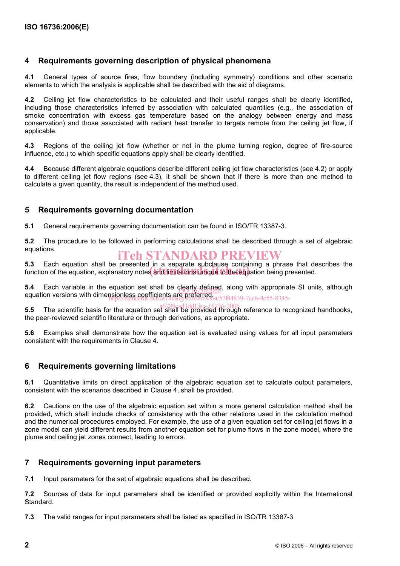#### **4 Requirements governing description of physical phenomena**

**4.1** General types of source fires, flow boundary (including symmetry) conditions and other scenario elements to which the analysis is applicable shall be described with the aid of diagrams.

**4.2** Ceiling jet flow characteristics to be calculated and their useful ranges shall be clearly identified, including those characteristics inferred by association with calculated quantities (e.g., the association of smoke concentration with excess gas temperature based on the analogy between energy and mass conservation) and those associated with radiant heat transfer to targets remote from the ceiling jet flow, if applicable.

**4.3** Regions of the ceiling jet flow (whether or not in the plume turning region, degree of fire-source influence, etc.) to which specific equations apply shall be clearly identified.

**4.4** Because different algebraic equations describe different ceiling jet flow characteristics (see 4.2) or apply to different ceiling jet flow regions (see 4.3), it shall be shown that if there is more than one method to calculate a given quantity, the result is independent of the method used.

#### **5 Requirements governing documentation**

**5.1** General requirements governing documentation can be found in ISO/TR 13387-3.

**5.2** The procedure to be followed in performing calculations shall be described through a set of algebraic equations.

### iTeh STANDARD PREVIEW

**5.3** Each equation shall be presented in a separate subclause containing a phrase that describes the **5.3** Each equation shall be presented in a separate subciause containing a phrase that de<br>function of the equation, explanatory notes and limitations unique to the equation being presented.

**5.4** Each variable in the equation set shall be clearly-defined, along with appropriate SI units, although **3.4** Each vanable in the equation set shall be clearly-gelined.<br>equation versions with dimensionless coefficients are preferred. https://standards.iteh.ai/catalog/standards/sist/57f84839-7ce6-4c55-8345-

**5.5** The scientific basis for the equation set shall be provided through reference to recognized handbooks, the peer-reviewed scientific literature or through derivations, as appropriate.

**5.6** Examples shall demonstrate how the equation set is evaluated using values for all input parameters consistent with the requirements in Clause 4.

#### **6 Requirements governing limitations**

**6.1** Quantitative limits on direct application of the algebraic equation set to calculate output parameters, consistent with the scenarios described in Clause 4, shall be provided.

**6.2** Cautions on the use of the algebraic equation set within a more general calculation method shall be provided, which shall include checks of consistency with the other relations used in the calculation method and the numerical procedures employed. For example, the use of a given equation set for ceiling jet flows in a zone model can yield different results from another equation set for plume flows in the zone model, where the plume and ceiling jet zones connect, leading to errors.

#### **7 Requirements governing input parameters**

**7.1** Input parameters for the set of algebraic equations shall be described.

**7.2** Sources of data for input parameters shall be identified or provided explicitly within the International Standard.

**7.3** The valid ranges for input parameters shall be listed as specified in ISO/TR 13387-3.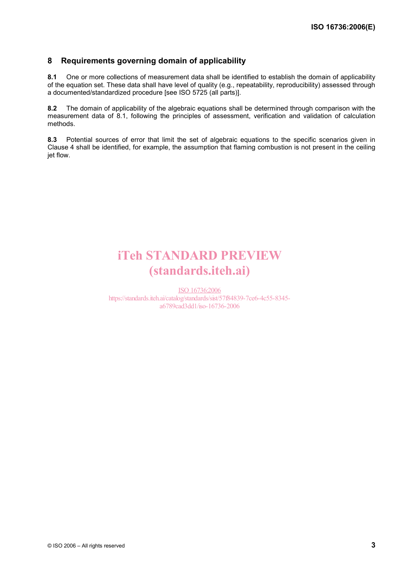#### **8 Requirements governing domain of applicability**

**8.1** One or more collections of measurement data shall be identified to establish the domain of applicability of the equation set. These data shall have level of quality (e.g., repeatability, reproducibility) assessed through a documented/standardized procedure [see ISO 5725 (all parts)].

**8.2** The domain of applicability of the algebraic equations shall be determined through comparison with the measurement data of 8.1, following the principles of assessment, verification and validation of calculation methods.

**8.3** Potential sources of error that limit the set of algebraic equations to the specific scenarios given in Clause 4 shall be identified, for example, the assumption that flaming combustion is not present in the ceiling jet flow.

# iTeh STANDARD PREVIEW (standards.iteh.ai)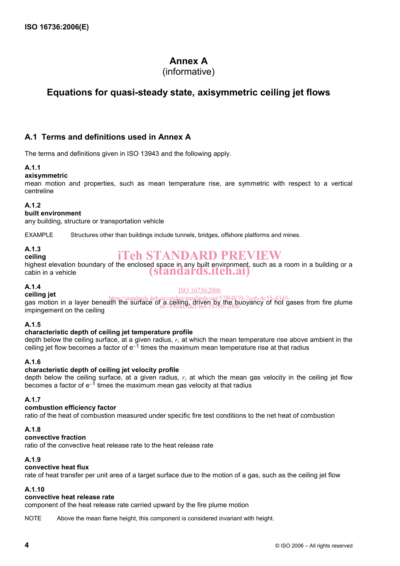## **Annex A**

### (informative)

## **Equations for quasi-steady state, axisymmetric ceiling jet flows**

#### **A.1 Terms and definitions used in Annex A**

The terms and definitions given in ISO 13943 and the following apply.

#### **A.1.1**

#### **axisymmetric**

mean motion and properties, such as mean temperature rise, are symmetric with respect to a vertical centreline

#### **A.1.2**

#### **built environment**

any building, structure or transportation vehicle

EXAMPLE Structures other than buildings include tunnels, bridges, offshore platforms and mines.

#### **A.1.3**

#### **ceiling**

## iTeh STANDARD PREVIEW

highest elevation boundary of the enclosed space in any built environment, such as a room in a building or a cabin in a vehicle (standards.iteh.ai)

#### **A.1.4**

#### ISO 16736:2006

**ceiling jet ceiling jet**<br>gas motion in a layer beneath the surface of a ceiling, driven by the buoyancy of hot gases from fire plume impingement on the ceiling a6789cad3dd1/iso-16736-2006

#### **A.1.5**

#### **characteristic depth of ceiling jet temperature profile**

depth below the ceiling surface, at a given radius, *r*, at which the mean temperature rise above ambient in the ceiling jet flow becomes a factor of e<sup>-1</sup> times the maximum mean temperature rise at that radius

#### **A.1.6**

#### **characteristic depth of ceiling jet velocity profile**

depth below the ceiling surface, at a given radius, *r*, at which the mean gas velocity in the ceiling jet flow becomes a factor of e−1 times the maximum mean gas velocity at that radius

#### **A.1.7**

#### **combustion efficiency factor**

ratio of the heat of combustion measured under specific fire test conditions to the net heat of combustion

#### **A.1.8**

#### **convective fraction**

ratio of the convective heat release rate to the heat release rate

#### **A.1.9**

#### **convective heat flux**

rate of heat transfer per unit area of a target surface due to the motion of a gas, such as the ceiling jet flow

#### **A.1.10**

#### **convective heat release rate**

component of the heat release rate carried upward by the fire plume motion

NOTE Above the mean flame height, this component is considered invariant with height.